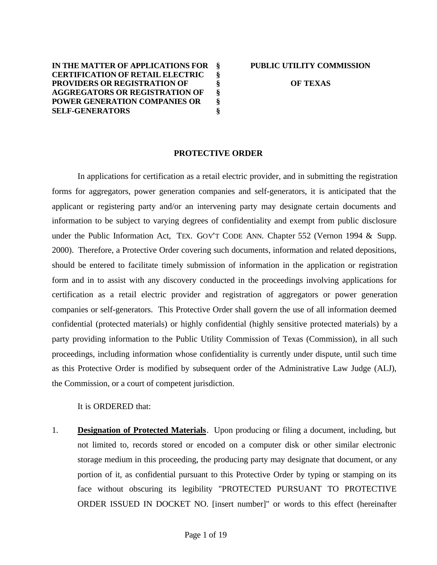**IN THE MATTER OF APPLICATIONS FOR CERTIFICATION OF RETAIL ELECTRIC PROVIDERS OR REGISTRATION OF AGGREGATORS OR REGISTRATION OF POWER GENERATION COMPANIES OR SELF-GENERATORS § § § § § §**

**OF TEXAS**

#### **PROTECTIVE ORDER**

In applications for certification as a retail electric provider, and in submitting the registration forms for aggregators, power generation companies and self-generators, it is anticipated that the applicant or registering party and/or an intervening party may designate certain documents and information to be subject to varying degrees of confidentiality and exempt from public disclosure under the Public Information Act, TEX. GOV'T CODE ANN. Chapter 552 (Vernon 1994 & Supp. 2000). Therefore, a Protective Order covering such documents, information and related depositions, should be entered to facilitate timely submission of information in the application or registration form and in to assist with any discovery conducted in the proceedings involving applications for certification as a retail electric provider and registration of aggregators or power generation companies or self-generators. This Protective Order shall govern the use of all information deemed confidential (protected materials) or highly confidential (highly sensitive protected materials) by a party providing information to the Public Utility Commission of Texas (Commission), in all such proceedings, including information whose confidentiality is currently under dispute, until such time as this Protective Order is modified by subsequent order of the Administrative Law Judge (ALJ), the Commission, or a court of competent jurisdiction.

It is ORDERED that:

1. **Designation of Protected Materials**. Upon producing or filing a document, including, but not limited to, records stored or encoded on a computer disk or other similar electronic storage medium in this proceeding, the producing party may designate that document, or any portion of it, as confidential pursuant to this Protective Order by typing or stamping on its face without obscuring its legibility "PROTECTED PURSUANT TO PROTECTIVE ORDER ISSUED IN DOCKET NO. [insert number]" or words to this effect (hereinafter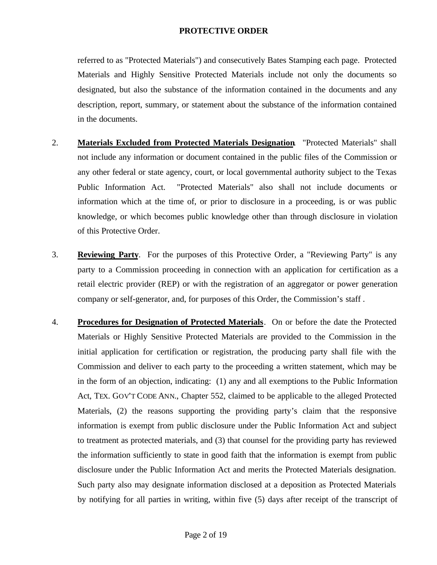referred to as "Protected Materials") and consecutively Bates Stamping each page. Protected Materials and Highly Sensitive Protected Materials include not only the documents so designated, but also the substance of the information contained in the documents and any description, report, summary, or statement about the substance of the information contained in the documents.

- 2. **Materials Excluded from Protected Materials Designation**. "Protected Materials" shall not include any information or document contained in the public files of the Commission or any other federal or state agency, court, or local governmental authority subject to the Texas Public Information Act. "Protected Materials" also shall not include documents or information which at the time of, or prior to disclosure in a proceeding, is or was public knowledge, or which becomes public knowledge other than through disclosure in violation of this Protective Order.
- 3. **Reviewing Party**. For the purposes of this Protective Order, a "Reviewing Party" is any party to a Commission proceeding in connection with an application for certification as a retail electric provider (REP) or with the registration of an aggregator or power generation company or self-generator, and, for purposes of this Order, the Commission's staff .
- 4. **Procedures for Designation of Protected Materials**. On or before the date the Protected Materials or Highly Sensitive Protected Materials are provided to the Commission in the initial application for certification or registration, the producing party shall file with the Commission and deliver to each party to the proceeding a written statement, which may be in the form of an objection, indicating: (1) any and all exemptions to the Public Information Act, TEX. GOV'T CODE ANN., Chapter 552, claimed to be applicable to the alleged Protected Materials, (2) the reasons supporting the providing party's claim that the responsive information is exempt from public disclosure under the Public Information Act and subject to treatment as protected materials, and (3) that counsel for the providing party has reviewed the information sufficiently to state in good faith that the information is exempt from public disclosure under the Public Information Act and merits the Protected Materials designation. Such party also may designate information disclosed at a deposition as Protected Materials by notifying for all parties in writing, within five (5) days after receipt of the transcript of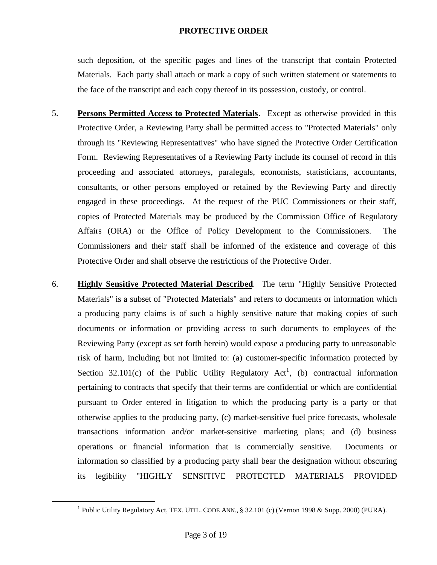such deposition, of the specific pages and lines of the transcript that contain Protected Materials. Each party shall attach or mark a copy of such written statement or statements to the face of the transcript and each copy thereof in its possession, custody, or control.

- 5. **Persons Permitted Access to Protected Materials**. Except as otherwise provided in this Protective Order, a Reviewing Party shall be permitted access to "Protected Materials" only through its "Reviewing Representatives" who have signed the Protective Order Certification Form. Reviewing Representatives of a Reviewing Party include its counsel of record in this proceeding and associated attorneys, paralegals, economists, statisticians, accountants, consultants, or other persons employed or retained by the Reviewing Party and directly engaged in these proceedings. At the request of the PUC Commissioners or their staff, copies of Protected Materials may be produced by the Commission Office of Regulatory Affairs (ORA) or the Office of Policy Development to the Commissioners. The Commissioners and their staff shall be informed of the existence and coverage of this Protective Order and shall observe the restrictions of the Protective Order.
- 6. **Highly Sensitive Protected Material Described**. The term "Highly Sensitive Protected Materials" is a subset of "Protected Materials" and refers to documents or information which a producing party claims is of such a highly sensitive nature that making copies of such documents or information or providing access to such documents to employees of the Reviewing Party (except as set forth herein) would expose a producing party to unreasonable risk of harm, including but not limited to: (a) customer-specific information protected by Section 32.101 $(c)$  of the Public Utility Regulatory Act<sup>1</sup>, (b) contractual information pertaining to contracts that specify that their terms are confidential or which are confidential pursuant to Order entered in litigation to which the producing party is a party or that otherwise applies to the producing party, (c) market-sensitive fuel price forecasts, wholesale transactions information and/or market-sensitive marketing plans; and (d) business operations or financial information that is commercially sensitive. Documents or information so classified by a producing party shall bear the designation without obscuring its legibility "HIGHLY SENSITIVE PROTECTED MATERIALS PROVIDED

 $\overline{a}$ 

<sup>&</sup>lt;sup>1</sup> Public Utility Regulatory Act, TEX. UTIL. CODE ANN., § 32.101 (c) (Vernon 1998 & Supp. 2000) (PURA).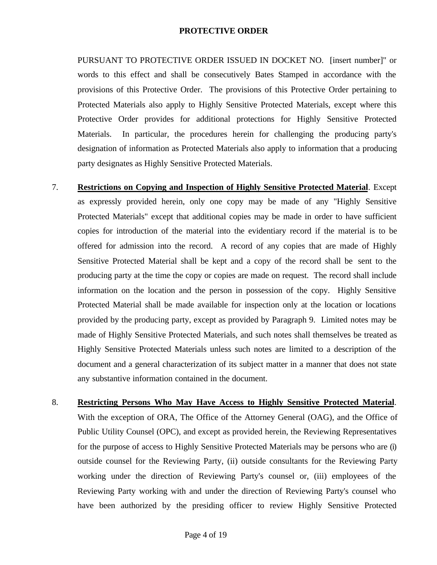PURSUANT TO PROTECTIVE ORDER ISSUED IN DOCKET NO. [insert number]" or words to this effect and shall be consecutively Bates Stamped in accordance with the provisions of this Protective Order. The provisions of this Protective Order pertaining to Protected Materials also apply to Highly Sensitive Protected Materials, except where this Protective Order provides for additional protections for Highly Sensitive Protected Materials. In particular, the procedures herein for challenging the producing party's designation of information as Protected Materials also apply to information that a producing party designates as Highly Sensitive Protected Materials.

- 7. **Restrictions on Copying and Inspection of Highly Sensitive Protected Material**. Except as expressly provided herein, only one copy may be made of any "Highly Sensitive Protected Materials" except that additional copies may be made in order to have sufficient copies for introduction of the material into the evidentiary record if the material is to be offered for admission into the record. A record of any copies that are made of Highly Sensitive Protected Material shall be kept and a copy of the record shall be sent to the producing party at the time the copy or copies are made on request. The record shall include information on the location and the person in possession of the copy. Highly Sensitive Protected Material shall be made available for inspection only at the location or locations provided by the producing party, except as provided by Paragraph 9. Limited notes may be made of Highly Sensitive Protected Materials, and such notes shall themselves be treated as Highly Sensitive Protected Materials unless such notes are limited to a description of the document and a general characterization of its subject matter in a manner that does not state any substantive information contained in the document.
- 8. **Restricting Persons Who May Have Access to Highly Sensitive Protected Material**. With the exception of ORA, The Office of the Attorney General (OAG), and the Office of Public Utility Counsel (OPC), and except as provided herein, the Reviewing Representatives for the purpose of access to Highly Sensitive Protected Materials may be persons who are (i) outside counsel for the Reviewing Party, (ii) outside consultants for the Reviewing Party working under the direction of Reviewing Party's counsel or, (iii) employees of the Reviewing Party working with and under the direction of Reviewing Party's counsel who have been authorized by the presiding officer to review Highly Sensitive Protected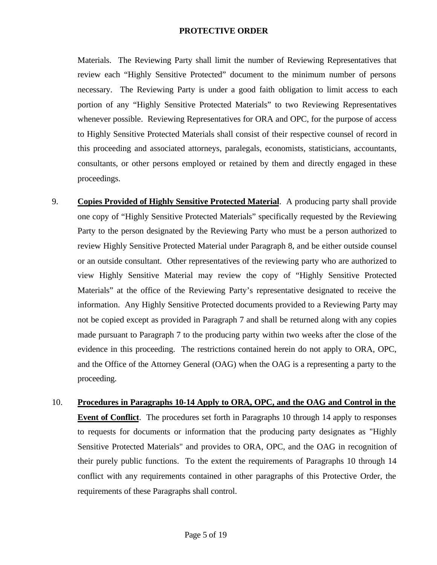Materials. The Reviewing Party shall limit the number of Reviewing Representatives that review each "Highly Sensitive Protected" document to the minimum number of persons necessary. The Reviewing Party is under a good faith obligation to limit access to each portion of any "Highly Sensitive Protected Materials" to two Reviewing Representatives whenever possible. Reviewing Representatives for ORA and OPC, for the purpose of access to Highly Sensitive Protected Materials shall consist of their respective counsel of record in this proceeding and associated attorneys, paralegals, economists, statisticians, accountants, consultants, or other persons employed or retained by them and directly engaged in these proceedings.

- 9. **Copies Provided of Highly Sensitive Protected Material**. A producing party shall provide one copy of "Highly Sensitive Protected Materials" specifically requested by the Reviewing Party to the person designated by the Reviewing Party who must be a person authorized to review Highly Sensitive Protected Material under Paragraph 8, and be either outside counsel or an outside consultant. Other representatives of the reviewing party who are authorized to view Highly Sensitive Material may review the copy of "Highly Sensitive Protected Materials" at the office of the Reviewing Party's representative designated to receive the information. Any Highly Sensitive Protected documents provided to a Reviewing Party may not be copied except as provided in Paragraph 7 and shall be returned along with any copies made pursuant to Paragraph 7 to the producing party within two weeks after the close of the evidence in this proceeding. The restrictions contained herein do not apply to ORA, OPC, and the Office of the Attorney General (OAG) when the OAG is a representing a party to the proceeding.
- 10. **Procedures in Paragraphs 10-14 Apply to ORA, OPC, and the OAG and Control in the Event of Conflict**. The procedures set forth in Paragraphs 10 through 14 apply to responses to requests for documents or information that the producing party designates as "Highly Sensitive Protected Materials" and provides to ORA, OPC, and the OAG in recognition of their purely public functions. To the extent the requirements of Paragraphs 10 through 14 conflict with any requirements contained in other paragraphs of this Protective Order, the requirements of these Paragraphs shall control.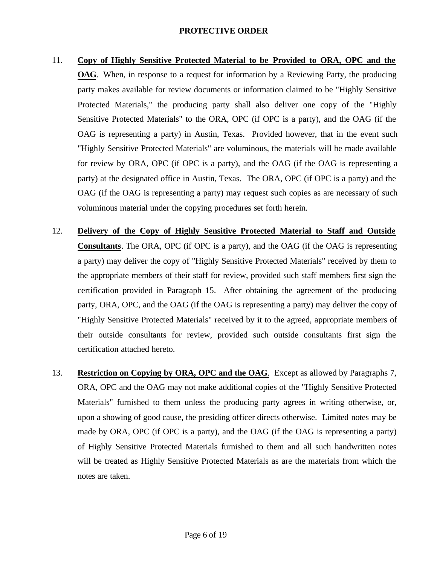- 11. **Copy of Highly Sensitive Protected Material to be Provided to ORA, OPC and the OAG**. When, in response to a request for information by a Reviewing Party, the producing party makes available for review documents or information claimed to be "Highly Sensitive Protected Materials," the producing party shall also deliver one copy of the "Highly Sensitive Protected Materials" to the ORA, OPC (if OPC is a party), and the OAG (if the OAG is representing a party) in Austin, Texas. Provided however, that in the event such "Highly Sensitive Protected Materials" are voluminous, the materials will be made available for review by ORA, OPC (if OPC is a party), and the OAG (if the OAG is representing a party) at the designated office in Austin, Texas. The ORA, OPC (if OPC is a party) and the OAG (if the OAG is representing a party) may request such copies as are necessary of such voluminous material under the copying procedures set forth herein.
- 12. **Delivery of the Copy of Highly Sensitive Protected Material to Staff and Outside Consultants**. The ORA, OPC (if OPC is a party), and the OAG (if the OAG is representing a party) may deliver the copy of "Highly Sensitive Protected Materials" received by them to the appropriate members of their staff for review, provided such staff members first sign the certification provided in Paragraph 15. After obtaining the agreement of the producing party, ORA, OPC, and the OAG (if the OAG is representing a party) may deliver the copy of "Highly Sensitive Protected Materials" received by it to the agreed, appropriate members of their outside consultants for review, provided such outside consultants first sign the certification attached hereto.
- 13. **Restriction on Copying by ORA, OPC and the OAG**. Except as allowed by Paragraphs 7, ORA, OPC and the OAG may not make additional copies of the "Highly Sensitive Protected Materials" furnished to them unless the producing party agrees in writing otherwise, or, upon a showing of good cause, the presiding officer directs otherwise. Limited notes may be made by ORA, OPC (if OPC is a party), and the OAG (if the OAG is representing a party) of Highly Sensitive Protected Materials furnished to them and all such handwritten notes will be treated as Highly Sensitive Protected Materials as are the materials from which the notes are taken.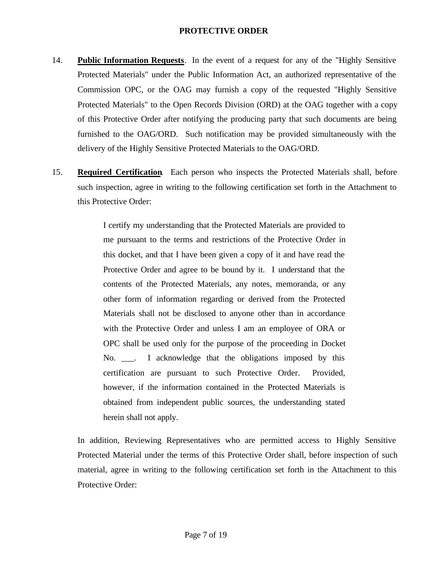- 14. **Public Information Requests**. In the event of a request for any of the "Highly Sensitive Protected Materials" under the Public Information Act, an authorized representative of the Commission OPC, or the OAG may furnish a copy of the requested "Highly Sensitive Protected Materials" to the Open Records Division (ORD) at the OAG together with a copy of this Protective Order after notifying the producing party that such documents are being furnished to the OAG/ORD. Such notification may be provided simultaneously with the delivery of the Highly Sensitive Protected Materials to the OAG/ORD.
- 15. **Required Certification**. Each person who inspects the Protected Materials shall, before such inspection, agree in writing to the following certification set forth in the Attachment to this Protective Order:

I certify my understanding that the Protected Materials are provided to me pursuant to the terms and restrictions of the Protective Order in this docket, and that I have been given a copy of it and have read the Protective Order and agree to be bound by it. I understand that the contents of the Protected Materials, any notes, memoranda, or any other form of information regarding or derived from the Protected Materials shall not be disclosed to anyone other than in accordance with the Protective Order and unless I am an employee of ORA or OPC shall be used only for the purpose of the proceeding in Docket No. \_\_\_. I acknowledge that the obligations imposed by this certification are pursuant to such Protective Order. Provided, however, if the information contained in the Protected Materials is obtained from independent public sources, the understanding stated herein shall not apply.

In addition, Reviewing Representatives who are permitted access to Highly Sensitive Protected Material under the terms of this Protective Order shall, before inspection of such material, agree in writing to the following certification set forth in the Attachment to this Protective Order: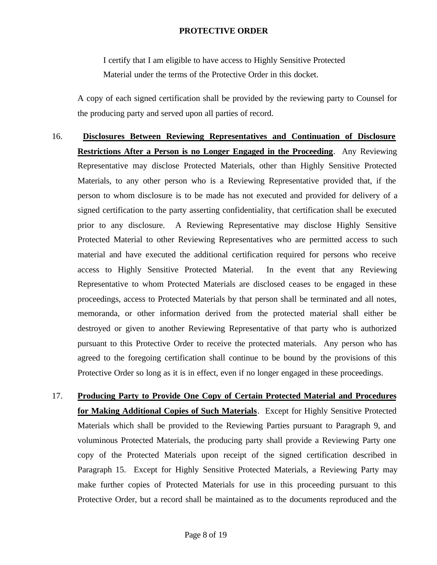I certify that I am eligible to have access to Highly Sensitive Protected Material under the terms of the Protective Order in this docket.

A copy of each signed certification shall be provided by the reviewing party to Counsel for the producing party and served upon all parties of record.

- 16. **Disclosures Between Reviewing Representatives and Continuation of Disclosure Restrictions After a Person is no Longer Engaged in the Proceeding**. Any Reviewing Representative may disclose Protected Materials, other than Highly Sensitive Protected Materials, to any other person who is a Reviewing Representative provided that, if the person to whom disclosure is to be made has not executed and provided for delivery of a signed certification to the party asserting confidentiality, that certification shall be executed prior to any disclosure. A Reviewing Representative may disclose Highly Sensitive Protected Material to other Reviewing Representatives who are permitted access to such material and have executed the additional certification required for persons who receive access to Highly Sensitive Protected Material. In the event that any Reviewing Representative to whom Protected Materials are disclosed ceases to be engaged in these proceedings, access to Protected Materials by that person shall be terminated and all notes, memoranda, or other information derived from the protected material shall either be destroyed or given to another Reviewing Representative of that party who is authorized pursuant to this Protective Order to receive the protected materials. Any person who has agreed to the foregoing certification shall continue to be bound by the provisions of this Protective Order so long as it is in effect, even if no longer engaged in these proceedings.
- 17. **Producing Party to Provide One Copy of Certain Protected Material and Procedures for Making Additional Copies of Such Materials**. Except for Highly Sensitive Protected Materials which shall be provided to the Reviewing Parties pursuant to Paragraph 9, and voluminous Protected Materials, the producing party shall provide a Reviewing Party one copy of the Protected Materials upon receipt of the signed certification described in Paragraph 15. Except for Highly Sensitive Protected Materials, a Reviewing Party may make further copies of Protected Materials for use in this proceeding pursuant to this Protective Order, but a record shall be maintained as to the documents reproduced and the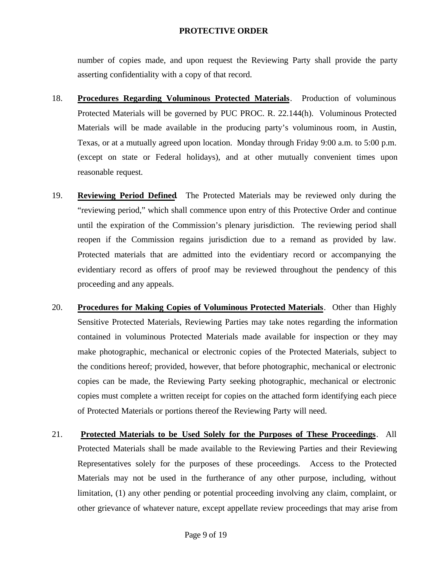number of copies made, and upon request the Reviewing Party shall provide the party asserting confidentiality with a copy of that record.

- 18. **Procedures Regarding Voluminous Protected Materials**. Production of voluminous Protected Materials will be governed by PUC PROC. R. 22.144(h). Voluminous Protected Materials will be made available in the producing party's voluminous room, in Austin, Texas, or at a mutually agreed upon location. Monday through Friday 9:00 a.m. to 5:00 p.m. (except on state or Federal holidays), and at other mutually convenient times upon reasonable request.
- 19. **Reviewing Period Defined**. The Protected Materials may be reviewed only during the "reviewing period," which shall commence upon entry of this Protective Order and continue until the expiration of the Commission's plenary jurisdiction. The reviewing period shall reopen if the Commission regains jurisdiction due to a remand as provided by law. Protected materials that are admitted into the evidentiary record or accompanying the evidentiary record as offers of proof may be reviewed throughout the pendency of this proceeding and any appeals.
- 20. **Procedures for Making Copies of Voluminous Protected Materials**. Other than Highly Sensitive Protected Materials, Reviewing Parties may take notes regarding the information contained in voluminous Protected Materials made available for inspection or they may make photographic, mechanical or electronic copies of the Protected Materials, subject to the conditions hereof; provided, however, that before photographic, mechanical or electronic copies can be made, the Reviewing Party seeking photographic, mechanical or electronic copies must complete a written receipt for copies on the attached form identifying each piece of Protected Materials or portions thereof the Reviewing Party will need.
- 21. **Protected Materials to be Used Solely for the Purposes of These Proceedings**. All Protected Materials shall be made available to the Reviewing Parties and their Reviewing Representatives solely for the purposes of these proceedings. Access to the Protected Materials may not be used in the furtherance of any other purpose, including, without limitation, (1) any other pending or potential proceeding involving any claim, complaint, or other grievance of whatever nature, except appellate review proceedings that may arise from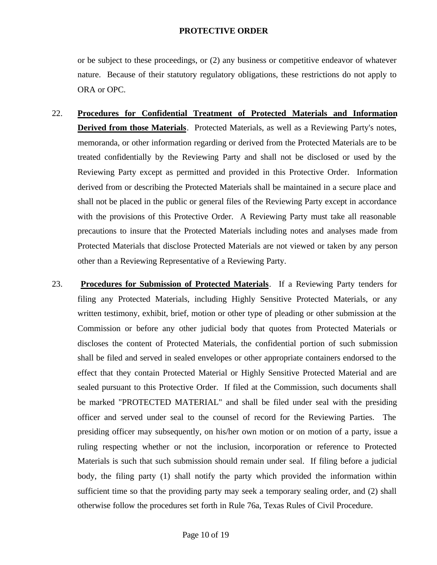or be subject to these proceedings, or (2) any business or competitive endeavor of whatever nature. Because of their statutory regulatory obligations, these restrictions do not apply to ORA or OPC.

- 22. **Procedures for Confidential Treatment of Protected Materials and Information Derived from those Materials**. Protected Materials, as well as a Reviewing Party's notes, memoranda, or other information regarding or derived from the Protected Materials are to be treated confidentially by the Reviewing Party and shall not be disclosed or used by the Reviewing Party except as permitted and provided in this Protective Order. Information derived from or describing the Protected Materials shall be maintained in a secure place and shall not be placed in the public or general files of the Reviewing Party except in accordance with the provisions of this Protective Order. A Reviewing Party must take all reasonable precautions to insure that the Protected Materials including notes and analyses made from Protected Materials that disclose Protected Materials are not viewed or taken by any person other than a Reviewing Representative of a Reviewing Party.
- 23. **Procedures for Submission of Protected Materials**. If a Reviewing Party tenders for filing any Protected Materials, including Highly Sensitive Protected Materials, or any written testimony, exhibit, brief, motion or other type of pleading or other submission at the Commission or before any other judicial body that quotes from Protected Materials or discloses the content of Protected Materials, the confidential portion of such submission shall be filed and served in sealed envelopes or other appropriate containers endorsed to the effect that they contain Protected Material or Highly Sensitive Protected Material and are sealed pursuant to this Protective Order. If filed at the Commission, such documents shall be marked "PROTECTED MATERIAL" and shall be filed under seal with the presiding officer and served under seal to the counsel of record for the Reviewing Parties. The presiding officer may subsequently, on his/her own motion or on motion of a party, issue a ruling respecting whether or not the inclusion, incorporation or reference to Protected Materials is such that such submission should remain under seal. If filing before a judicial body, the filing party (1) shall notify the party which provided the information within sufficient time so that the providing party may seek a temporary sealing order, and (2) shall otherwise follow the procedures set forth in Rule 76a, Texas Rules of Civil Procedure.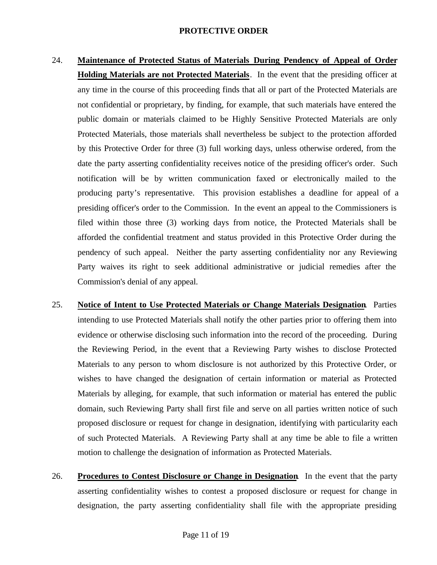- 24. **Maintenance of Protected Status of Materials During Pendency of Appeal of Order Holding Materials are not Protected Materials**. In the event that the presiding officer at any time in the course of this proceeding finds that all or part of the Protected Materials are not confidential or proprietary, by finding, for example, that such materials have entered the public domain or materials claimed to be Highly Sensitive Protected Materials are only Protected Materials, those materials shall nevertheless be subject to the protection afforded by this Protective Order for three (3) full working days, unless otherwise ordered, from the date the party asserting confidentiality receives notice of the presiding officer's order. Such notification will be by written communication faxed or electronically mailed to the producing party's representative. This provision establishes a deadline for appeal of a presiding officer's order to the Commission. In the event an appeal to the Commissioners is filed within those three (3) working days from notice, the Protected Materials shall be afforded the confidential treatment and status provided in this Protective Order during the pendency of such appeal. Neither the party asserting confidentiality nor any Reviewing Party waives its right to seek additional administrative or judicial remedies after the Commission's denial of any appeal.
- 25. **Notice of Intent to Use Protected Materials or Change Materials Designation**. Parties intending to use Protected Materials shall notify the other parties prior to offering them into evidence or otherwise disclosing such information into the record of the proceeding. During the Reviewing Period, in the event that a Reviewing Party wishes to disclose Protected Materials to any person to whom disclosure is not authorized by this Protective Order, or wishes to have changed the designation of certain information or material as Protected Materials by alleging, for example, that such information or material has entered the public domain, such Reviewing Party shall first file and serve on all parties written notice of such proposed disclosure or request for change in designation, identifying with particularity each of such Protected Materials. A Reviewing Party shall at any time be able to file a written motion to challenge the designation of information as Protected Materials.
- 26. **Procedures to Contest Disclosure or Change in Designation**. In the event that the party asserting confidentiality wishes to contest a proposed disclosure or request for change in designation, the party asserting confidentiality shall file with the appropriate presiding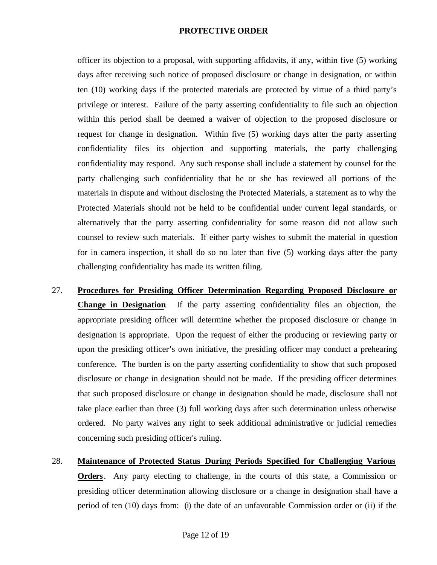officer its objection to a proposal, with supporting affidavits, if any, within five (5) working days after receiving such notice of proposed disclosure or change in designation, or within ten (10) working days if the protected materials are protected by virtue of a third party's privilege or interest. Failure of the party asserting confidentiality to file such an objection within this period shall be deemed a waiver of objection to the proposed disclosure or request for change in designation. Within five (5) working days after the party asserting confidentiality files its objection and supporting materials, the party challenging confidentiality may respond. Any such response shall include a statement by counsel for the party challenging such confidentiality that he or she has reviewed all portions of the materials in dispute and without disclosing the Protected Materials, a statement as to why the Protected Materials should not be held to be confidential under current legal standards, or alternatively that the party asserting confidentiality for some reason did not allow such counsel to review such materials. If either party wishes to submit the material in question for in camera inspection, it shall do so no later than five (5) working days after the party challenging confidentiality has made its written filing.

- 27. **Procedures for Presiding Officer Determination Regarding Proposed Disclosure or Change in Designation**. If the party asserting confidentiality files an objection, the appropriate presiding officer will determine whether the proposed disclosure or change in designation is appropriate. Upon the request of either the producing or reviewing party or upon the presiding officer's own initiative, the presiding officer may conduct a prehearing conference. The burden is on the party asserting confidentiality to show that such proposed disclosure or change in designation should not be made. If the presiding officer determines that such proposed disclosure or change in designation should be made, disclosure shall not take place earlier than three (3) full working days after such determination unless otherwise ordered. No party waives any right to seek additional administrative or judicial remedies concerning such presiding officer's ruling.
- 28. **Maintenance of Protected Status During Periods Specified for Challenging Various Orders**. Any party electing to challenge, in the courts of this state, a Commission or presiding officer determination allowing disclosure or a change in designation shall have a period of ten (10) days from: (i) the date of an unfavorable Commission order or (ii) if the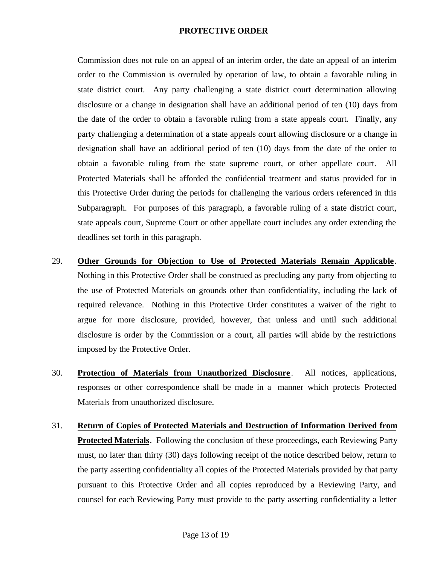Commission does not rule on an appeal of an interim order, the date an appeal of an interim order to the Commission is overruled by operation of law, to obtain a favorable ruling in state district court. Any party challenging a state district court determination allowing disclosure or a change in designation shall have an additional period of ten (10) days from the date of the order to obtain a favorable ruling from a state appeals court. Finally, any party challenging a determination of a state appeals court allowing disclosure or a change in designation shall have an additional period of ten (10) days from the date of the order to obtain a favorable ruling from the state supreme court, or other appellate court. All Protected Materials shall be afforded the confidential treatment and status provided for in this Protective Order during the periods for challenging the various orders referenced in this Subparagraph. For purposes of this paragraph, a favorable ruling of a state district court, state appeals court, Supreme Court or other appellate court includes any order extending the deadlines set forth in this paragraph.

- 29. **Other Grounds for Objection to Use of Protected Materials Remain Applicable**. Nothing in this Protective Order shall be construed as precluding any party from objecting to the use of Protected Materials on grounds other than confidentiality, including the lack of required relevance. Nothing in this Protective Order constitutes a waiver of the right to argue for more disclosure, provided, however, that unless and until such additional disclosure is order by the Commission or a court, all parties will abide by the restrictions imposed by the Protective Order.
- 30. **Protection of Materials from Unauthorized Disclosure** . All notices, applications, responses or other correspondence shall be made in a manner which protects Protected Materials from unauthorized disclosure.
- 31. **Return of Copies of Protected Materials and Destruction of Information Derived from Protected Materials**. Following the conclusion of these proceedings, each Reviewing Party must, no later than thirty (30) days following receipt of the notice described below, return to the party asserting confidentiality all copies of the Protected Materials provided by that party pursuant to this Protective Order and all copies reproduced by a Reviewing Party, and counsel for each Reviewing Party must provide to the party asserting confidentiality a letter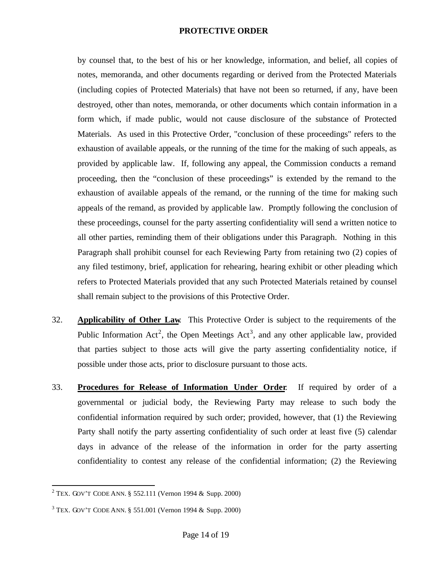by counsel that, to the best of his or her knowledge, information, and belief, all copies of notes, memoranda, and other documents regarding or derived from the Protected Materials (including copies of Protected Materials) that have not been so returned, if any, have been destroyed, other than notes, memoranda, or other documents which contain information in a form which, if made public, would not cause disclosure of the substance of Protected Materials. As used in this Protective Order, "conclusion of these proceedings" refers to the exhaustion of available appeals, or the running of the time for the making of such appeals, as provided by applicable law. If, following any appeal, the Commission conducts a remand proceeding, then the "conclusion of these proceedings" is extended by the remand to the exhaustion of available appeals of the remand, or the running of the time for making such appeals of the remand, as provided by applicable law. Promptly following the conclusion of these proceedings, counsel for the party asserting confidentiality will send a written notice to all other parties, reminding them of their obligations under this Paragraph. Nothing in this Paragraph shall prohibit counsel for each Reviewing Party from retaining two (2) copies of any filed testimony, brief, application for rehearing, hearing exhibit or other pleading which refers to Protected Materials provided that any such Protected Materials retained by counsel shall remain subject to the provisions of this Protective Order.

- 32. **Applicability of Other Law**. This Protective Order is subject to the requirements of the Public Information Act<sup>2</sup>, the Open Meetings Act<sup>3</sup>, and any other applicable law, provided that parties subject to those acts will give the party asserting confidentiality notice, if possible under those acts, prior to disclosure pursuant to those acts.
- 33. **Procedures for Release of Information Under Order**. If required by order of a governmental or judicial body, the Reviewing Party may release to such body the confidential information required by such order; provided, however, that (1) the Reviewing Party shall notify the party asserting confidentiality of such order at least five (5) calendar days in advance of the release of the information in order for the party asserting confidentiality to contest any release of the confidential information; (2) the Reviewing

 $\overline{a}$ 

<sup>&</sup>lt;sup>2</sup> TEX. GOV'T CODE ANN. § 552.111 (Vernon 1994 & Supp. 2000)

 $3$  TEX. GOV'T CODE ANN. § 551.001 (Vernon 1994 & Supp. 2000)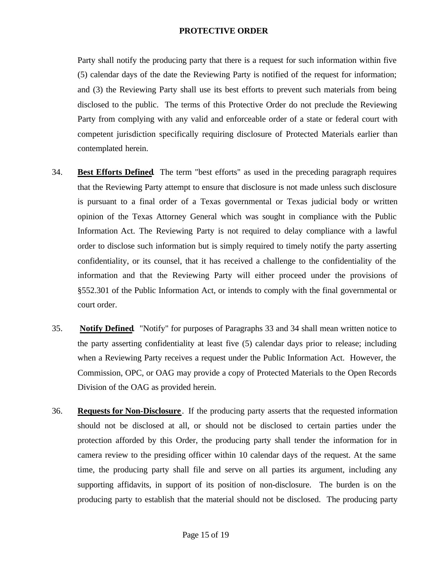Party shall notify the producing party that there is a request for such information within five (5) calendar days of the date the Reviewing Party is notified of the request for information; and (3) the Reviewing Party shall use its best efforts to prevent such materials from being disclosed to the public. The terms of this Protective Order do not preclude the Reviewing Party from complying with any valid and enforceable order of a state or federal court with competent jurisdiction specifically requiring disclosure of Protected Materials earlier than contemplated herein.

- 34. **Best Efforts Defined**. The term "best efforts" as used in the preceding paragraph requires that the Reviewing Party attempt to ensure that disclosure is not made unless such disclosure is pursuant to a final order of a Texas governmental or Texas judicial body or written opinion of the Texas Attorney General which was sought in compliance with the Public Information Act. The Reviewing Party is not required to delay compliance with a lawful order to disclose such information but is simply required to timely notify the party asserting confidentiality, or its counsel, that it has received a challenge to the confidentiality of the information and that the Reviewing Party will either proceed under the provisions of §552.301 of the Public Information Act, or intends to comply with the final governmental or court order.
- 35. **Notify Defined**. "Notify" for purposes of Paragraphs 33 and 34 shall mean written notice to the party asserting confidentiality at least five (5) calendar days prior to release; including when a Reviewing Party receives a request under the Public Information Act. However, the Commission, OPC, or OAG may provide a copy of Protected Materials to the Open Records Division of the OAG as provided herein.
- 36. **Requests for Non-Disclosure** . If the producing party asserts that the requested information should not be disclosed at all, or should not be disclosed to certain parties under the protection afforded by this Order, the producing party shall tender the information for in camera review to the presiding officer within 10 calendar days of the request. At the same time, the producing party shall file and serve on all parties its argument, including any supporting affidavits, in support of its position of non-disclosure. The burden is on the producing party to establish that the material should not be disclosed. The producing party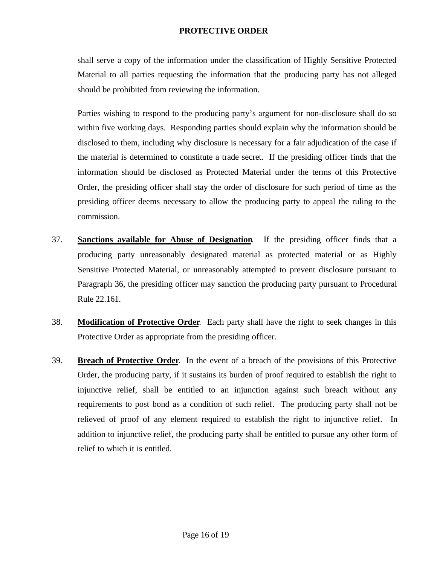shall serve a copy of the information under the classification of Highly Sensitive Protected Material to all parties requesting the information that the producing party has not alleged should be prohibited from reviewing the information.

Parties wishing to respond to the producing party's argument for non-disclosure shall do so within five working days. Responding parties should explain why the information should be disclosed to them, including why disclosure is necessary for a fair adjudication of the case if the material is determined to constitute a trade secret. If the presiding officer finds that the information should be disclosed as Protected Material under the terms of this Protective Order, the presiding officer shall stay the order of disclosure for such period of time as the presiding officer deems necessary to allow the producing party to appeal the ruling to the commission.

- 37. **Sanctions available for Abuse of Designation**. If the presiding officer finds that a producing party unreasonably designated material as protected material or as Highly Sensitive Protected Material, or unreasonably attempted to prevent disclosure pursuant to Paragraph 36, the presiding officer may sanction the producing party pursuant to Procedural Rule 22.161.
- 38. **Modification of Protective Order**. Each party shall have the right to seek changes in this Protective Order as appropriate from the presiding officer.
- 39. **Breach of Protective Order**. In the event of a breach of the provisions of this Protective Order, the producing party, if it sustains its burden of proof required to establish the right to injunctive relief, shall be entitled to an injunction against such breach without any requirements to post bond as a condition of such relief. The producing party shall not be relieved of proof of any element required to establish the right to injunctive relief. In addition to injunctive relief, the producing party shall be entitled to pursue any other form of relief to which it is entitled.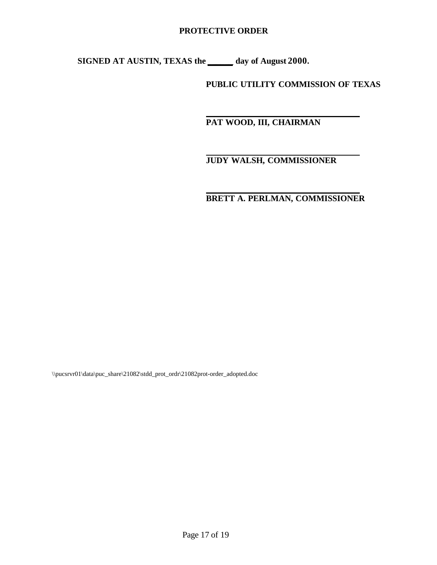**SIGNED AT AUSTIN, TEXAS the \_\_\_\_\_\_ day of August 2000.**

**PUBLIC UTILITY COMMISSION OF TEXAS**

 **PAT WOOD, III, CHAIRMAN**

# **JUDY WALSH, COMMISSIONER**

 **BRETT A. PERLMAN, COMMISSIONER**

\\pucsrvr01\data\puc\_share\21082\stdd\_prot\_ordr\21082prot-order\_adopted.doc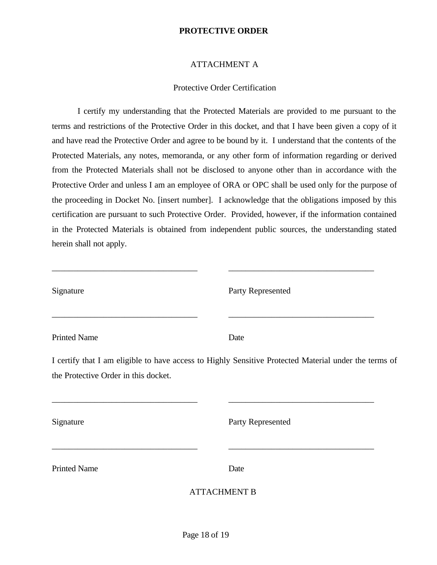# ATTACHMENT A

# Protective Order Certification

I certify my understanding that the Protected Materials are provided to me pursuant to the terms and restrictions of the Protective Order in this docket, and that I have been given a copy of it and have read the Protective Order and agree to be bound by it. I understand that the contents of the Protected Materials, any notes, memoranda, or any other form of information regarding or derived from the Protected Materials shall not be disclosed to anyone other than in accordance with the Protective Order and unless I am an employee of ORA or OPC shall be used only for the purpose of the proceeding in Docket No. [insert number]. I acknowledge that the obligations imposed by this certification are pursuant to such Protective Order. Provided, however, if the information contained in the Protected Materials is obtained from independent public sources, the understanding stated herein shall not apply.

\_\_\_\_\_\_\_\_\_\_\_\_\_\_\_\_\_\_\_\_\_\_\_\_\_\_\_\_\_\_\_\_\_\_ \_\_\_\_\_\_\_\_\_\_\_\_\_\_\_\_\_\_\_\_\_\_\_\_\_\_\_\_\_\_\_\_\_\_

| Signature                            | Party Represented                                                                                     |
|--------------------------------------|-------------------------------------------------------------------------------------------------------|
| <b>Printed Name</b>                  | Date                                                                                                  |
| the Protective Order in this docket. | I certify that I am eligible to have access to Highly Sensitive Protected Material under the terms of |
| Signature                            | Party Represented                                                                                     |
| <b>Printed Name</b>                  | Date                                                                                                  |
|                                      | <b>ATTACHMENT B</b>                                                                                   |